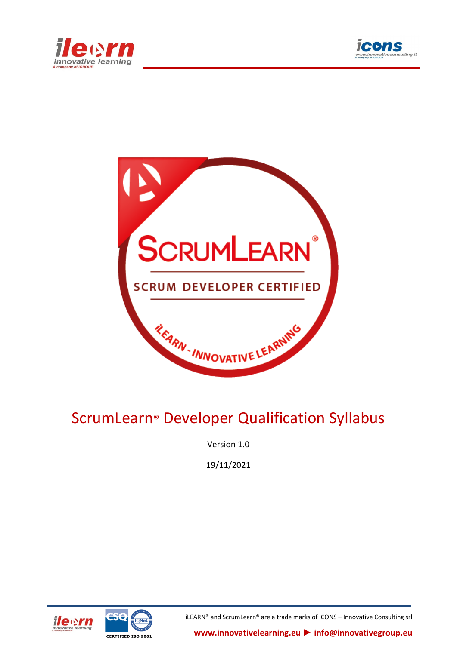





# ScrumLearn® Developer Qualification Syllabus

Version 1.0

19/11/2021





iLEARN® and ScrumLearn® are a trade marks of iCONS – Innovative Consulting srl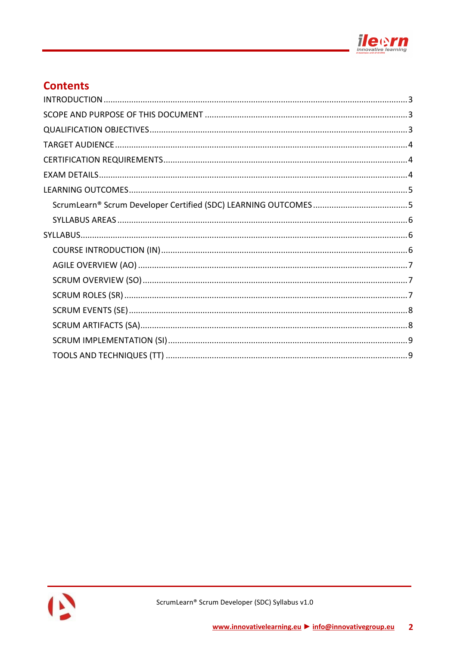

# **Contents**

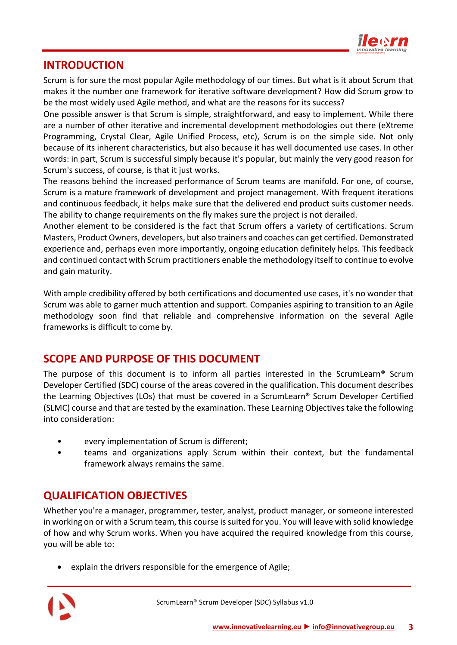

### <span id="page-2-0"></span>**INTRODUCTION**

Scrum is for sure the most popular Agile methodology of our times. But what is it about Scrum that makes it the number one framework for iterative software development? How did Scrum grow to be the most widely used Agile method, and what are the reasons for its success?

One possible answer is that Scrum is simple, straightforward, and easy to implement. While there are a number of other iterative and incremental development methodologies out there (eXtreme Programming, Crystal Clear, Agile Unified Process, etc), Scrum is on the simple side. Not only because of its inherent characteristics, but also because it has well documented use cases. In other words: in part, Scrum is successful simply because it's popular, but mainly the very good reason for Scrum's success, of course, is that it just works.

The reasons behind the increased performance of Scrum teams are manifold. For one, of course, Scrum is a mature framework of development and project management. With frequent iterations and continuous feedback, it helps make sure that the delivered end product suits customer needs. The ability to change requirements on the fly makes sure the project is not derailed.

Another element to be considered is the fact that Scrum offers a variety of certifications. Scrum Masters, Product Owners, developers, but also trainers and coaches can get certified. Demonstrated experience and, perhaps even more importantly, ongoing education definitely helps. This feedback and continued contact with Scrum practitioners enable the methodology itself to continue to evolve and gain maturity.

With ample credibility offered by both certifications and documented use cases, it's no wonder that Scrum was able to garner much attention and support. Companies aspiring to transition to an Agile methodology soon find that reliable and comprehensive information on the several Agile frameworks is difficult to come by.

# <span id="page-2-1"></span>**SCOPE AND PURPOSE OF THIS DOCUMENT**

The purpose of this document is to inform all parties interested in the ScrumLearn® Scrum Developer Certified (SDC) course of the areas covered in the qualification. This document describes the Learning Objectives (LOs) that must be covered in a ScrumLearn® Scrum Developer Certified (SLMC) course and that are tested by the examination. These Learning Objectives take the following into consideration:

- every implementation of Scrum is different;
- teams and organizations apply Scrum within their context, but the fundamental framework always remains the same.

# <span id="page-2-2"></span>**QUALIFICATION OBJECTIVES**

Whether you're a manager, programmer, tester, analyst, product manager, or someone interested in working on or with a Scrum team, this course is suited for you. You will leave with solid knowledge of how and why Scrum works. When you have acquired the required knowledge from this course, you will be able to:

• explain the drivers responsible for the emergence of Agile;

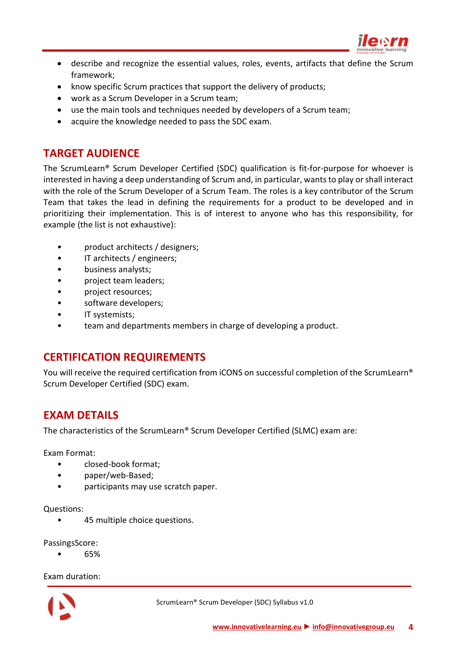

- describe and recognize the essential values, roles, events, artifacts that define the Scrum framework;
- know specific Scrum practices that support the delivery of products;
- work as a Scrum Developer in a Scrum team;
- use the main tools and techniques needed by developers of a Scrum team;
- <span id="page-3-0"></span>• acquire the knowledge needed to pass the SDC exam.

# **TARGET AUDIENCE**

The ScrumLearn® Scrum Developer Certified (SDC) qualification is fit-for-purpose for whoever is interested in having a deep understanding of Scrum and, in particular, wants to play or shall interact with the role of the Scrum Developer of a Scrum Team. The roles is a key contributor of the Scrum Team that takes the lead in defining the requirements for a product to be developed and in prioritizing their implementation. This is of interest to anyone who has this responsibility, for example (the list is not exhaustive):

- product architects / designers;
- IT architects / engineers;
- business analysts;
- project team leaders;
- project resources;
- software developers;
- IT systemists;
- <span id="page-3-1"></span>team and departments members in charge of developing a product.

### **CERTIFICATION REQUIREMENTS**

You will receive the required certification from iCONS on successful completion of the ScrumLearn® Scrum Developer Certified (SDC) exam.

# <span id="page-3-2"></span>**EXAM DETAILS**

The characteristics of the ScrumLearn® Scrum Developer Certified (SLMC) exam are:

Exam Format:

- closed-book format;
- paper/web-Based;
- participants may use scratch paper.

#### Questions:

• 45 multiple choice questions.

PassingsScore:

• 65%

Exam duration:

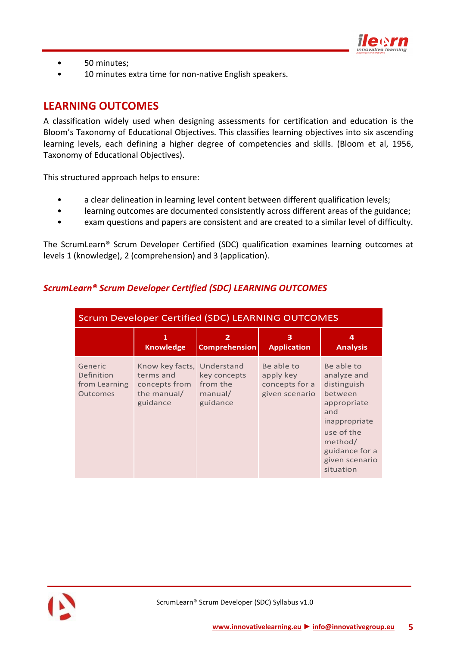

- 50 minutes;
- <span id="page-4-0"></span>• 10 minutes extra time for non-native English speakers.

# **LEARNING OUTCOMES**

A classification widely used when designing assessments for certification and education is the Bloom's Taxonomy of Educational Objectives. This classifies learning objectives into six ascending learning levels, each defining a higher degree of competencies and skills. (Bloom et al, 1956, Taxonomy of Educational Objectives).

This structured approach helps to ensure:

- a clear delineation in learning level content between different qualification levels;
- learning outcomes are documented consistently across different areas of the guidance;
- exam questions and papers are consistent and are created to a similar level of difficulty.

The ScrumLearn® Scrum Developer Certified (SDC) qualification examines learning outcomes at levels 1 (knowledge), 2 (comprehension) and 3 (application).

| <b>Scrum Developer Certified (SDC) LEARNING OUTCOMES</b>  |                                                                                     |                                                 |                                                             |                                                                                                                                                                      |
|-----------------------------------------------------------|-------------------------------------------------------------------------------------|-------------------------------------------------|-------------------------------------------------------------|----------------------------------------------------------------------------------------------------------------------------------------------------------------------|
|                                                           | 1<br><b>Knowledge</b>                                                               | $\overline{2}$<br><b>Comprehension</b>          | 3<br><b>Application</b>                                     | 4<br><b>Analysis</b>                                                                                                                                                 |
| Generic<br>Definition<br>from Learning<br><b>Outcomes</b> | Know key facts, Understand<br>terms and<br>concepts from<br>the manual/<br>guidance | key concepts<br>from the<br>manual/<br>guidance | Be able to<br>apply key<br>concepts for a<br>given scenario | Be able to<br>analyze and<br>distinguish<br>between<br>appropriate<br>and<br>inappropriate<br>use of the<br>method/<br>guidance for a<br>given scenario<br>situation |

### <span id="page-4-1"></span>*ScrumLearn® Scrum Developer Certified (SDC) LEARNING OUTCOMES*

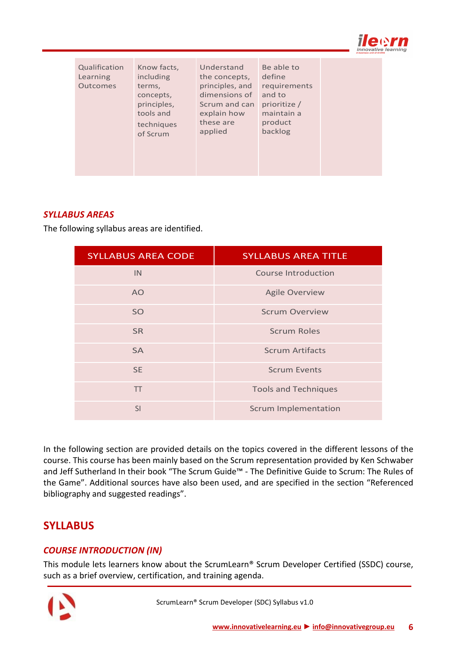

| Qualification<br>Learning<br><b>Outcomes</b> | Know facts,<br>including<br>terms,<br>concepts,<br>principles,<br>tools and<br>techniques<br>of Scrum | Understand<br>the concepts,<br>principles, and<br>dimensions of<br>Scrum and can<br>explain how<br>these are<br>applied | Be able to<br>define<br>requirements<br>and to<br>prioritize /<br>maintain a<br>product<br>backlog |  |
|----------------------------------------------|-------------------------------------------------------------------------------------------------------|-------------------------------------------------------------------------------------------------------------------------|----------------------------------------------------------------------------------------------------|--|
|----------------------------------------------|-------------------------------------------------------------------------------------------------------|-------------------------------------------------------------------------------------------------------------------------|----------------------------------------------------------------------------------------------------|--|

#### <span id="page-5-0"></span>*SYLLABUS AREAS*

The following syllabus areas are identified.

| <b>SYLLABUS AREA CODE</b> | <b>SYLLABUS AREA TITLE</b>  |
|---------------------------|-----------------------------|
| IN.                       | Course Introduction         |
| AO.                       | <b>Agile Overview</b>       |
| <b>SO</b>                 | <b>Scrum Overview</b>       |
| <b>SR</b>                 | <b>Scrum Roles</b>          |
| <b>SA</b>                 | <b>Scrum Artifacts</b>      |
| <b>SE</b>                 | <b>Scrum Events</b>         |
| <b>TT</b>                 | <b>Tools and Techniques</b> |
| SI                        | <b>Scrum Implementation</b> |

In the following section are provided details on the topics covered in the different lessons of the course. This course has been mainly based on the Scrum representation provided by Ken Schwaber and Jeff Sutherland In their book "The Scrum Guide™ - The Definitive Guide to Scrum: The Rules of the Game". Additional sources have also been used, and are specified in the section "Referenced bibliography and suggested readings".

# <span id="page-5-1"></span>**SYLLABUS**

#### <span id="page-5-2"></span>*COURSE INTRODUCTION (IN)*

This module lets learners know about the ScrumLearn® Scrum Developer Certified (SSDC) course, such as a brief overview, certification, and training agenda.

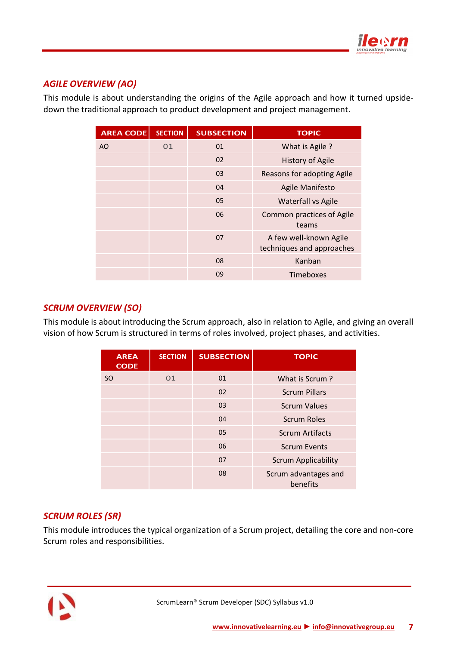

### <span id="page-6-0"></span>*AGILE OVERVIEW (AO)*

This module is about understanding the origins of the Agile approach and how it turned upsidedown the traditional approach to product development and project management.

| <b>AREA CODE</b> | <b>SECTION</b> | <b>SUBSECTION</b> | <b>TOPIC</b>                                        |
|------------------|----------------|-------------------|-----------------------------------------------------|
| AO               | 01             | 01                | What is Agile?                                      |
|                  |                | 02                | <b>History of Agile</b>                             |
|                  |                | 03                | Reasons for adopting Agile                          |
|                  |                | 04                | Agile Manifesto                                     |
|                  |                | 05                | <b>Waterfall vs Agile</b>                           |
|                  |                | 06                | <b>Common practices of Agile</b><br>teams           |
|                  |                | 07                | A few well-known Agile<br>techniques and approaches |
|                  |                | 08                | Kanban                                              |
|                  |                | 09                | <b>Timeboxes</b>                                    |

### <span id="page-6-1"></span>*SCRUM OVERVIEW (SO)*

This module is about introducing the Scrum approach, also in relation to Agile, and giving an overall vision of how Scrum is structured in terms of roles involved, project phases, and activities.

| <b>AREA</b><br><b>CODE</b> | <b>SECTION</b> | <b>SUBSECTION</b> | <b>TOPIC</b>                     |
|----------------------------|----------------|-------------------|----------------------------------|
| <sub>SO</sub>              | 01             | 01                | What is Scrum?                   |
|                            |                | 02                | <b>Scrum Pillars</b>             |
|                            |                | 03                | <b>Scrum Values</b>              |
|                            |                | 04                | <b>Scrum Roles</b>               |
|                            |                | 05                | <b>Scrum Artifacts</b>           |
|                            |                | 06                | <b>Scrum Events</b>              |
|                            |                | 07                | <b>Scrum Applicability</b>       |
|                            |                | 08                | Scrum advantages and<br>benefits |

### <span id="page-6-2"></span>*SCRUM ROLES (SR)*

This module introduces the typical organization of a Scrum project, detailing the core and non-core Scrum roles and responsibilities.

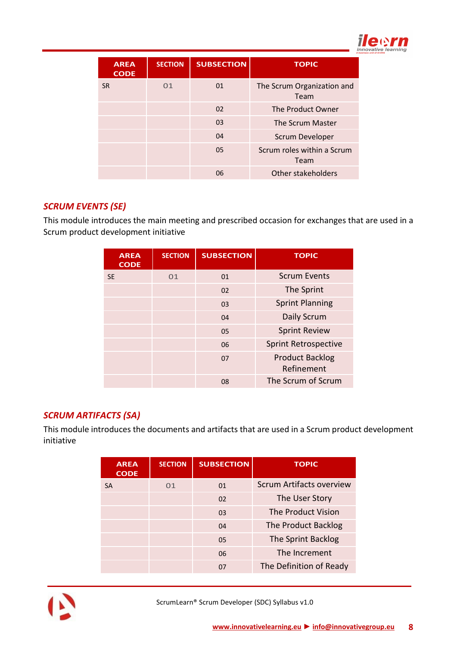

| <b>AREA</b><br><b>CODE</b> | <b>SECTION</b> | <b>SUBSECTION</b> | <b>TOPIC</b>                       |
|----------------------------|----------------|-------------------|------------------------------------|
| <b>SR</b>                  | 01             | 01                | The Scrum Organization and<br>Team |
|                            |                | 02                | The Product Owner                  |
|                            |                | 03                | The Scrum Master                   |
|                            |                | 04                | <b>Scrum Developer</b>             |
|                            |                | 05                | Scrum roles within a Scrum<br>Team |
|                            |                | 06                | Other stakeholders                 |

### <span id="page-7-0"></span>*SCRUM EVENTS (SE)*

This module introduces the main meeting and prescribed occasion for exchanges that are used in a Scrum product development initiative

| <b>AREA</b><br><b>CODE</b> | <b>SECTION</b> | <b>SUBSECTION</b> | <b>TOPIC</b>                         |
|----------------------------|----------------|-------------------|--------------------------------------|
| <b>SE</b>                  | 01             | 01                | <b>Scrum Events</b>                  |
|                            |                | 02                | The Sprint                           |
|                            |                | 03                | <b>Sprint Planning</b>               |
|                            |                | 04                | Daily Scrum                          |
|                            |                | 05                | <b>Sprint Review</b>                 |
|                            |                | 06                | <b>Sprint Retrospective</b>          |
|                            |                | 07                | <b>Product Backlog</b><br>Refinement |
|                            |                | 08                | The Scrum of Scrum                   |

### <span id="page-7-1"></span>*SCRUM ARTIFACTS (SA)*

This module introduces the documents and artifacts that are used in a Scrum product development initiative

| <b>AREA</b><br><b>CODE</b> | <b>SECTION</b> | <b>SUBSECTION</b> | <b>TOPIC</b>                    |
|----------------------------|----------------|-------------------|---------------------------------|
| <b>SA</b>                  | 01             | 01                | <b>Scrum Artifacts overview</b> |
|                            |                | 02                | The User Story                  |
|                            |                | 03                | The Product Vision              |
|                            |                | 04                | The Product Backlog             |
|                            |                | 05                | The Sprint Backlog              |
|                            |                | 06                | The Increment                   |
|                            |                | 07                | The Definition of Ready         |



ScrumLearn® Scrum Developer (SDC) Syllabus v1.0